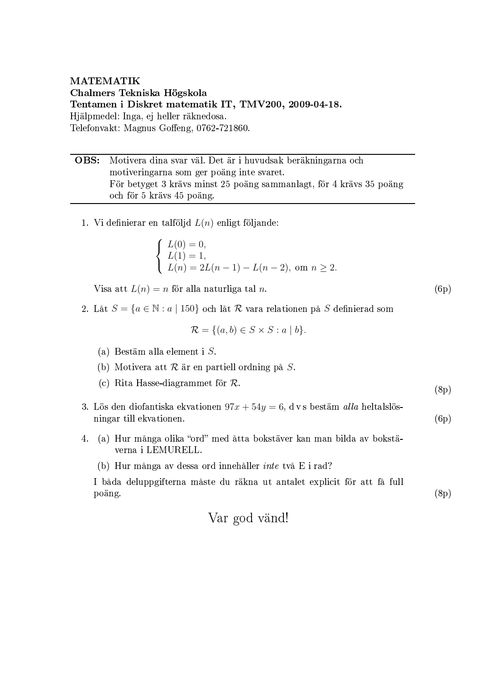**MATEMATIK** Chalmers Tekniska Högskola Tentamen i Diskret matematik IT, TMV200, 2009-04-18. Hjälpmedel: Inga, ej heller räknedosa. Telefonvakt: Magnus Goffeng, 0762-721860.

| <b>OBS:</b> Motivera dina svar väl. Det är i huvudsak beräkningarna och |
|-------------------------------------------------------------------------|
| motiveringarna som ger poäng inte svaret.                               |
| För betyget 3 krävs minst 25 poäng sammanlagt, för 4 krävs 35 poäng     |
| och för 5 krävs 45 poäng.                                               |

1. Vi definierar en talföljd  $L(n)$  enligt följande:

$$
\begin{cases}\nL(0) = 0, \\
L(1) = 1, \\
L(n) = 2L(n-1) - L(n-2), \text{ om } n \ge 2.\n\end{cases}
$$

Visa att  $L(n) = n$  för alla naturliga tal n.

2. Låt $S=\{a\in\mathbb{N}:a\mid 150\}$ och låt $\mathcal R$ vara relationen på  $S$  definierad som

$$
\mathcal{R} = \{(a, b) \in S \times S : a \mid b\}.
$$

- (a) Bestäm alla element i  $S$ .
- (b) Motivera att  $R$  är en partiell ordning på  $S$ .
- (c) Rita Hasse-diagrammet för  $\mathcal{R}$ .
- 3. Lös den diofantiska ekvationen  $97x + 54y = 6$ , dvs bestäm alla heltalslösningar till ekvationen.
- 4. (a) Hur många olika "ord" med åtta bokstäver kan man bilda av bokstäverna i LEMURELL.
	- (b) Hur många av dessa ord innehåller inte två E i rad?

I båda deluppgifterna måste du räkna ut antalet explicit för att få full poäng.

 $(6p)$ 

 $(8p)$ 

 $(6p)$ 

 $(8p)$